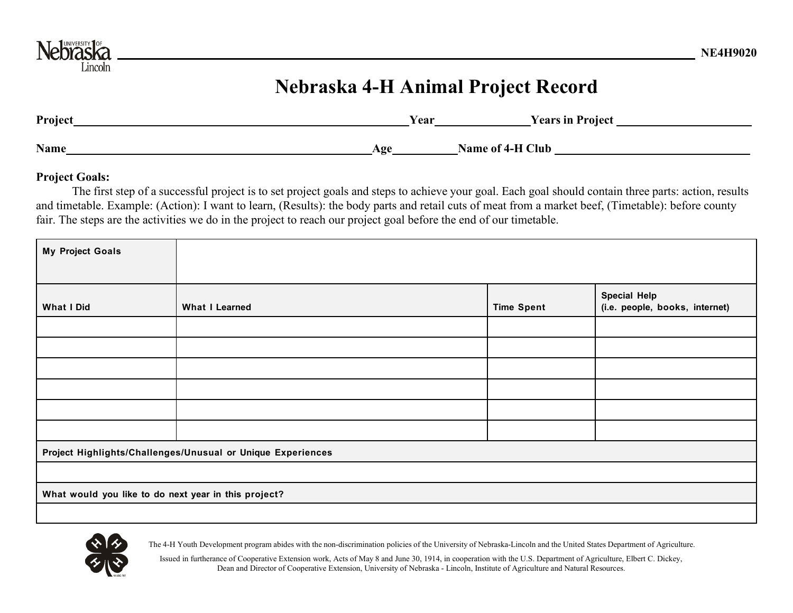

## **Nebraska 4-H Animal Project Record**

| Project | Year | <b>Years in Project</b> |
|---------|------|-------------------------|
| Name    | Age  | Name of 4-H Club        |

## **Project Goals:**

The first step of a successful project is to set project goals and steps to achieve your goal. Each goal should contain three parts: action, results and timetable. Example: (Action): I want to learn, (Results): the body parts and retail cuts of meat from a market beef, (Timetable): before county fair. The steps are the activities we do in the project to reach our project goal before the end of our timetable.

| <b>My Project Goals</b>                                     |                       |                   |                                |  |  |
|-------------------------------------------------------------|-----------------------|-------------------|--------------------------------|--|--|
|                                                             |                       |                   |                                |  |  |
|                                                             |                       |                   | <b>Special Help</b>            |  |  |
| <b>What I Did</b>                                           | <b>What I Learned</b> | <b>Time Spent</b> | (i.e. people, books, internet) |  |  |
|                                                             |                       |                   |                                |  |  |
|                                                             |                       |                   |                                |  |  |
|                                                             |                       |                   |                                |  |  |
|                                                             |                       |                   |                                |  |  |
|                                                             |                       |                   |                                |  |  |
|                                                             |                       |                   |                                |  |  |
| Project Highlights/Challenges/Unusual or Unique Experiences |                       |                   |                                |  |  |
|                                                             |                       |                   |                                |  |  |
| What would you like to do next year in this project?        |                       |                   |                                |  |  |
|                                                             |                       |                   |                                |  |  |



The 4-H Youth Development program abides with the non-discrimination policies of the University of Nebraska-Lincoln and the United States Department of Agriculture.

Issued in furtherance of Cooperative Extension work, Acts of May 8 and June 30, 1914, in cooperation with the U.S. Department of Agriculture, Elbert C. Dickey, Dean and Director of Cooperative Extension, University of Nebraska - Lincoln, Institute of Agriculture and Natural Resources.